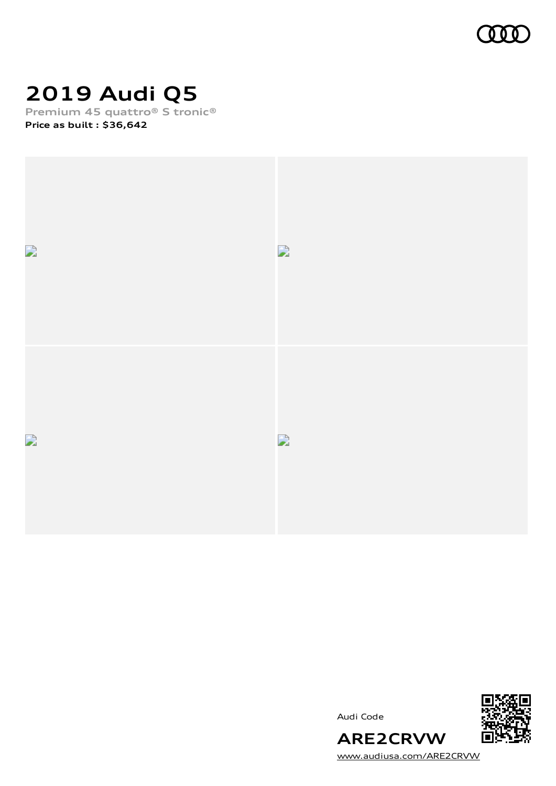

# **2019 Audi Q5**

**Premium 45 quattro® S tronic®**

**Price as built [:](#page-10-0) \$36,642**



Audi Code



[www.audiusa.com/ARE2CRVW](https://www.audiusa.com/ARE2CRVW)

**ARE2CRVW**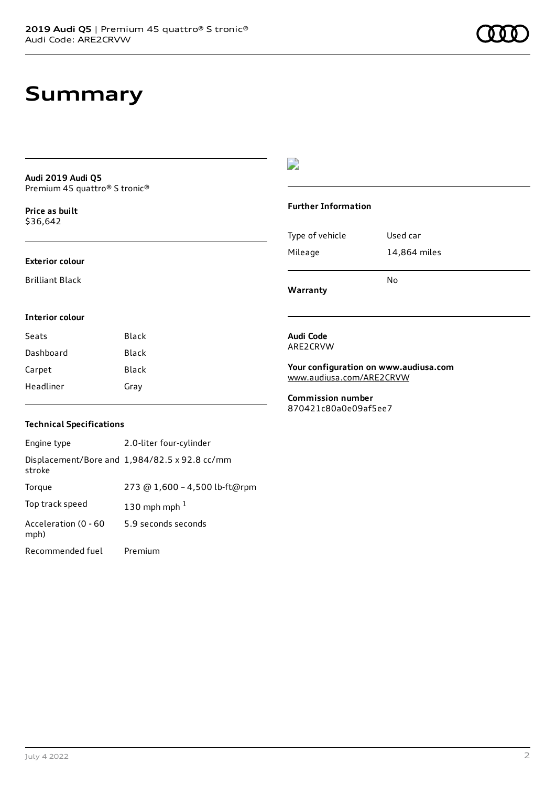### **Summary**

**Audi 2019 Audi Q5** Premium 45 quattro® S tronic®

**Price as buil[t](#page-10-0)** \$36,642

### **Exterior colour**

Brilliant Black

### $\overline{\phantom{a}}$

#### **Further Information**

|                 | N٥           |
|-----------------|--------------|
| Mileage         | 14,864 miles |
| Type of vehicle | Used car     |

**Warranty**

#### **Interior colour**

| Seats     | Black |
|-----------|-------|
| Dashboard | Black |
| Carpet    | Black |
| Headliner | Gray  |

#### **Audi Code** ARE2CRVW

**Your configuration on www.audiusa.com** [www.audiusa.com/ARE2CRVW](https://www.audiusa.com/ARE2CRVW)

**Commission number** 870421c80a0e09af5ee7

### **Technical Specifications**

| Engine type                  | 2.0-liter four-cylinder                       |
|------------------------------|-----------------------------------------------|
| stroke                       | Displacement/Bore and 1,984/82.5 x 92.8 cc/mm |
| Torque                       | 273 @ 1,600 - 4,500 lb-ft@rpm                 |
| Top track speed              | 130 mph mph $1$                               |
| Acceleration (0 - 60<br>mph) | 5.9 seconds seconds                           |
| Recommended fuel             | Premium                                       |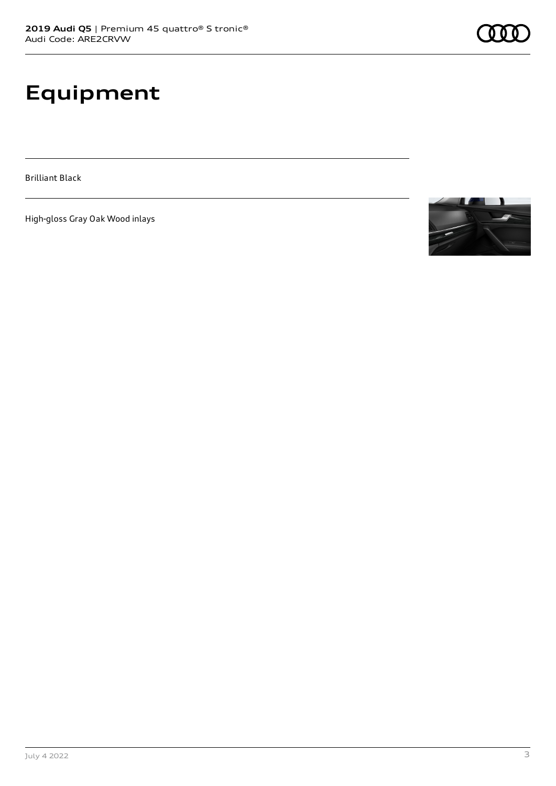# **Equipment**

Brilliant Black

High-gloss Gray Oak Wood inlays

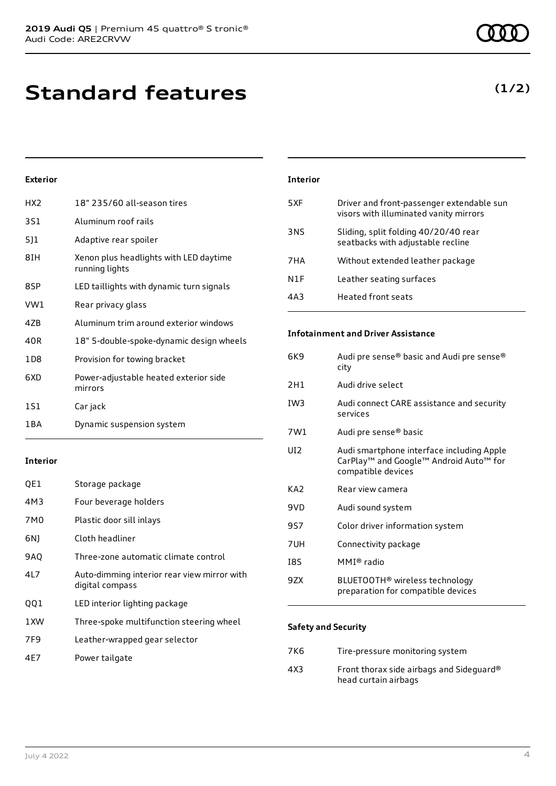| HX <sub>2</sub> | 18" 235/60 all-season tires                              |
|-----------------|----------------------------------------------------------|
| <b>3S1</b>      | Aluminum roof rails                                      |
| 5]1             | Adaptive rear spoiler                                    |
| 8IH             | Xenon plus headlights with LED daytime<br>running lights |
| 8SP             | LED taillights with dynamic turn signals                 |
| VW1             | Rear privacy glass                                       |
| 47B             | Aluminum trim around exterior windows                    |
| 40R             | 18" 5-double-spoke-dynamic design wheels                 |
| 1D8             | Provision for towing bracket                             |
| 6XD             | Power-adjustable heated exterior side<br>mirrors         |
| 1S1             | Car jack                                                 |
| 1 B A           | Dynamic suspension system                                |

### **Interior**

| QE1             | Storage package                                                |
|-----------------|----------------------------------------------------------------|
| 4M3             | Four beverage holders                                          |
| 7M <sub>0</sub> | Plastic door sill inlays                                       |
| 6N)             | Cloth headliner                                                |
| 9AQ             | Three-zone automatic climate control                           |
| 4L7             | Auto-dimming interior rear view mirror with<br>digital compass |
| 001             | LED interior lighting package                                  |
| 1 XW            | Three-spoke multifunction steering wheel                       |
| 7F9             | Leather-wrapped gear selector                                  |
| 4E7             | Power tailgate                                                 |
|                 |                                                                |

### **Interior**

| 5XF | Driver and front-passenger extendable sun<br>visors with illuminated vanity mirrors |
|-----|-------------------------------------------------------------------------------------|
| 3NS | Sliding, split folding 40/20/40 rear<br>seatbacks with adjustable recline           |
| 7HA | Without extended leather package                                                    |
| N1F | Leather seating surfaces                                                            |
| 4A3 | <b>Heated front seats</b>                                                           |

### **Infotainment and Driver Assistance**

| Audi pre sense® basic and Audi pre sense®<br>city                                                         |
|-----------------------------------------------------------------------------------------------------------|
| Audi drive select                                                                                         |
| Audi connect CARE assistance and security<br>services                                                     |
| Audi pre sense <sup>®</sup> basic                                                                         |
| Audi smartphone interface including Apple<br>CarPlay™ and Google™ Android Auto™ for<br>compatible devices |
| Rear view camera                                                                                          |
| Audi sound system                                                                                         |
| Color driver information system                                                                           |
| Connectivity package                                                                                      |
| MMI <sup>®</sup> radio                                                                                    |
| BLUETOOTH <sup>®</sup> wireless technology<br>preparation for compatible devices                          |
|                                                                                                           |

### **Safety and Security**

| 7K6  | Tire-pressure monitoring system                                  |
|------|------------------------------------------------------------------|
| 4X3. | Front thorax side airbags and Sideguard®<br>head curtain airbags |

### **(1/2)**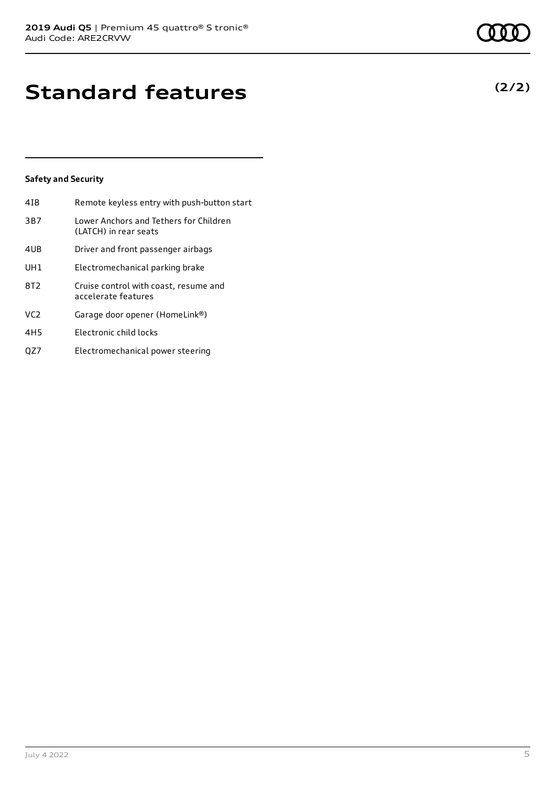# **Standard features**

### **Safety and Security**

| 418 | Remote keyless entry with push-button start                     |
|-----|-----------------------------------------------------------------|
| 3B7 | Lower Anchors and Tethers for Children<br>(LATCH) in rear seats |
| 4UB | Driver and front passenger airbags                              |
| UH1 | Electromechanical parking brake                                 |
| 8T2 | Cruise control with coast, resume and<br>accelerate features    |
| VC2 | Garage door opener (HomeLink®)                                  |
| 4H5 | Electronic child locks                                          |
| OZ7 | Electromechanical power steering                                |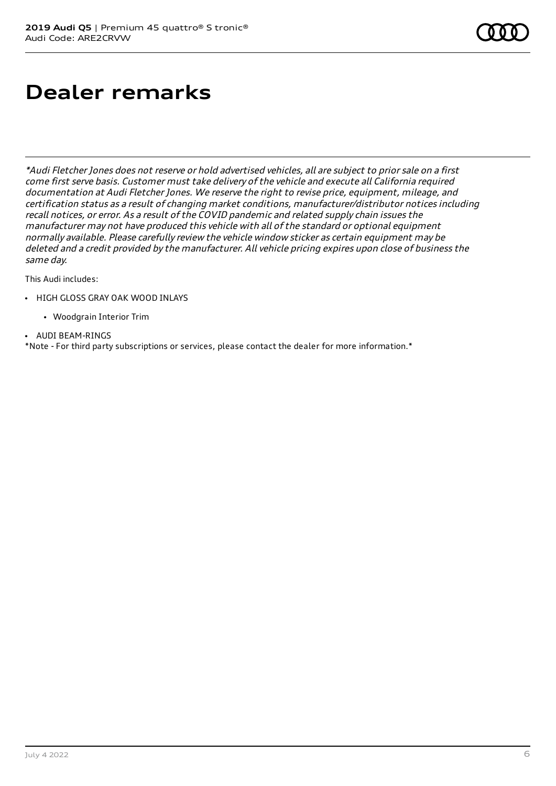# **Dealer remarks**

\*Audi Fletcher Jones does not reserve or hold advertised vehicles, all are subject to prior sale on <sup>a</sup> first come first serve basis. Customer must take delivery of the vehicle and execute all California required documentation at Audi Fletcher Jones. We reserve the right to revise price, equipment, mileage, and certification status as <sup>a</sup> result of changing market conditions, manufacturer/distributor notices including recall notices, or error. As <sup>a</sup> result of the COVID pandemic and related supply chain issues the manufacturer may not have produced this vehicle with all of the standard or optional equipment normally available. Please carefully review the vehicle window sticker as certain equipment may be deleted and <sup>a</sup> credit provided by the manufacturer. All vehicle pricing expires upon close of business the same day.

This Audi includes:

- HIGH GLOSS GRAY OAK WOOD INLAYS
	- Woodgrain Interior Trim
- **.** AUDI BEAM-RINGS

\*Note - For third party subscriptions or services, please contact the dealer for more information.\*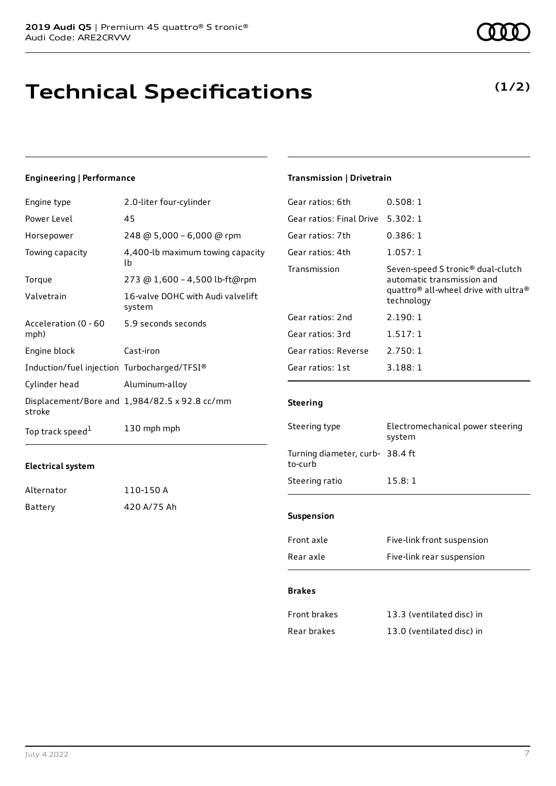### **Technical Specifications**

### **Engineering | Performance**

| Engine type                                 | 2.0-liter four-cylinder                       |
|---------------------------------------------|-----------------------------------------------|
| Power Level                                 | 45                                            |
| Horsepower                                  | 248 @ 5,000 - 6,000 @ rpm                     |
| Towing capacity                             | 4,400-lb maximum towing capacity<br>lb        |
| Torque                                      | 273 @ 1,600 - 4,500 lb-ft@rpm                 |
| Valvetrain                                  | 16-valve DOHC with Audi valvelift<br>system   |
| Acceleration (0 - 60<br>mph)                | 5.9 seconds seconds                           |
| Engine block                                | Cast-iron                                     |
| Induction/fuel injection Turbocharged/TFSI® |                                               |
| Cylinder head                               | Aluminum-alloy                                |
| stroke                                      | Displacement/Bore and 1,984/82.5 x 92.8 cc/mm |
| Top track speed <sup>1</sup>                | 130 mph mph                                   |

### **Electrical system**

| Alternator | 110-150 A   |
|------------|-------------|
| Battery    | 420 A/75 Ah |

### **Transmission | Drivetrain**

| Gear ratios: 6th         | 0.508:1                                                                                                                                                   |
|--------------------------|-----------------------------------------------------------------------------------------------------------------------------------------------------------|
| Gear ratios: Final Drive | 5.302:1                                                                                                                                                   |
| Gear ratios: 7th         | 0.386:1                                                                                                                                                   |
| Gear ratios: 4th         | 1.057:1                                                                                                                                                   |
| Transmission             | Seven-speed S tronic <sup>®</sup> dual-clutch<br>automatic transmission and<br>quattro <sup>®</sup> all-wheel drive with ultra <sup>®</sup><br>technology |
| Gear ratios: 2nd         | 2.190:1                                                                                                                                                   |
| Gear ratios: 3rd         | 1.517:1                                                                                                                                                   |
| Gear ratios: Reverse     | 2.750:1                                                                                                                                                   |
| Gear ratios: 1st         | 3.188:1                                                                                                                                                   |
|                          |                                                                                                                                                           |

### **Steering**

| Steering type                              | Electromechanical power steering<br>system |  |
|--------------------------------------------|--------------------------------------------|--|
| Turning diameter, curb- 38.4 ft<br>to-curb |                                            |  |
| Steering ratio                             | 15.8:1                                     |  |
|                                            |                                            |  |
| <b>Suspension</b>                          |                                            |  |
| Front axle                                 | Five-link front suspension                 |  |
| Rear axle                                  | Five-link rear suspension                  |  |

#### **Brakes**

| Front brakes | 13.3 (ventilated disc) in |
|--------------|---------------------------|
| Rear brakes  | 13.0 (ventilated disc) in |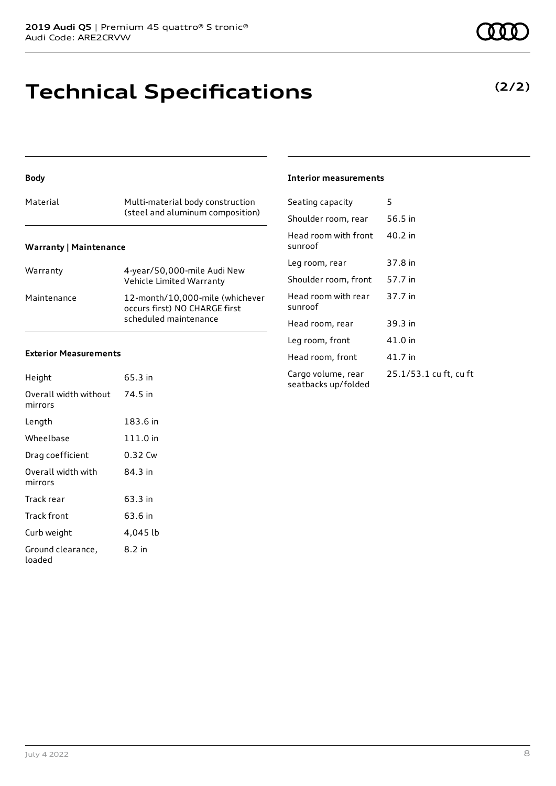### **Technical Specifications**

### Material Multi-material body construction (steel and aluminum composition)

**Warranty | Maintenance**

**Body**

| Warranty    | 4-year/50,000-mile Audi New<br>Vehicle Limited Warranty                                   |
|-------------|-------------------------------------------------------------------------------------------|
| Maintenance | 12-month/10,000-mile (whichever<br>occurs first) NO CHARGE first<br>scheduled maintenance |

### **Exterior Measurements**

| Height                           | 65.3 in  |
|----------------------------------|----------|
| Overall width without<br>mirrors | 74.5 in  |
| Length                           | 183.6 in |
| Wheelbase                        | 111.0 in |
| Drag coefficient                 | 0.32 Cw  |
| Overall width with<br>mirrors    | 84 3 in  |
| Track rear                       | 63.3 in  |
| Track front                      | 63.6 in  |
| Curb weight                      | 4,045 lb |
| Ground clearance,<br>loaded      | 8.2 in   |

### **Interior measurements**

| Seating capacity                          | 5                      |
|-------------------------------------------|------------------------|
| Shoulder room, rear                       | 56.5 in                |
| Head room with front<br>sunroof           | 40.2 in                |
| Leg room, rear                            | 37.8 in                |
| Shoulder room, front                      | 57.7 in                |
| Head room with rear<br>sunroof            | 37.7 in                |
| Head room, rear                           | 39.3 in                |
| Leg room, front                           | 41.0 in                |
| Head room, front                          | 41.7 in                |
| Cargo volume, rear<br>seatbacks up/folded | 25.1/53.1 cu ft, cu ft |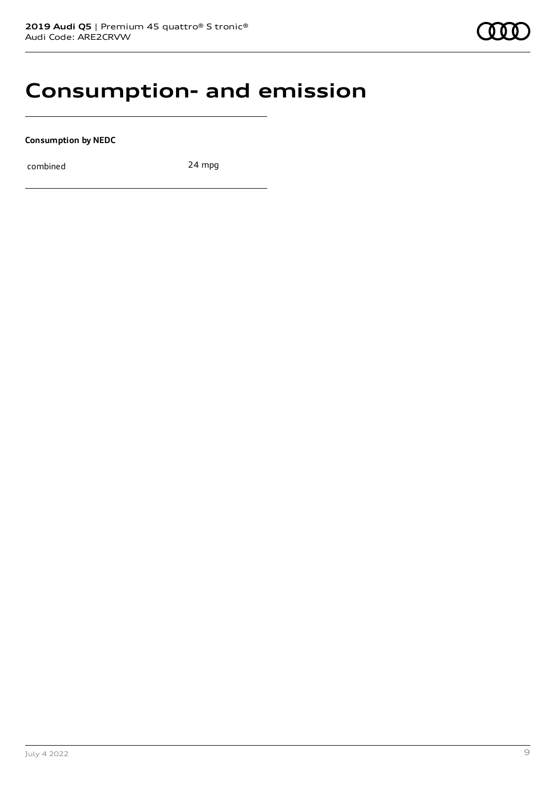### **Consumption- and emission**

**Consumption by NEDC**

combined 24 mpg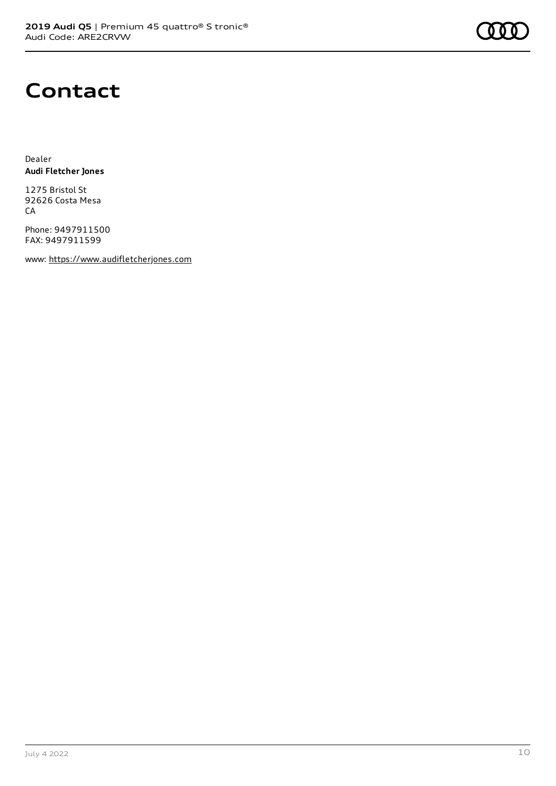

### **Contact**

Dealer **Audi Fletcher Jones**

1275 Bristol St 92626 Costa Mesa **CA** 

Phone: 9497911500 FAX: 9497911599

www: [https://www.audifletcherjones.com](https://www.audifletcherjones.com/)